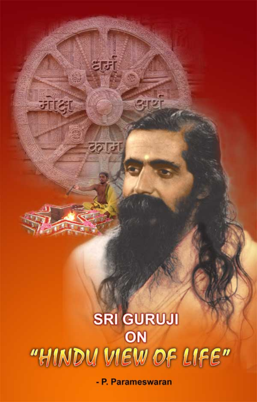# SRI GURUJI ON "HINDU VIEW OF LIFE"

 $(1, 1)$ 

द्युम्

टल्ला

जाकु

भ्रार्थ

- P. Parameswaran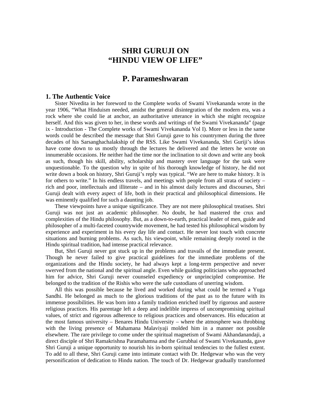# **SHRI GURUJI ON "HINDU VIEW OF LIFE"**

# **P. Parameshwaran**

### **1. The Authentic Voice**

Sister Nivedita in her foreword to the Complete works of Swami Vivekananda wrote in the year 1906, "What Hinduism needed, amidst the general disintegration of the modern era, was a rock where she could lie at anchor, an authoritative utterance in which she might recognize herself. And this was given to her, in these words and writings of the Swami Vivekananda" (page ix - Introduction - The Complete works of Swami Vivekananda Vol I). More or less in the same words could be described the message that Shri Guruji gave to his countrymen during the three decades of his Sarsanghachalakship of the RSS. Like Swami Vivekananda, Shri Guriji's ideas have come down to us mostly through the lectures he delivered and the letters he wrote on innumerable occasions. He neither had the time nor the inclination to sit down and write any book as such, though his skill, ability, scholarship and mastery over language for the task were unquestionable. To the question why in spite of his thorough knowledge of history, he did not write down a book on history, Shri Guruji's reply was typical. "We are here to make history. It is for others to write." In his endless travels, and meetings with people from all strata of society – rich and poor, intellectuals and illiterate – and in his almost daily lectures and discourses, Shri Guruji dealt with every aspect of life, both in their practical and philosophical dimensions. He was eminently qualified for such a daunting job.

These viewpoints have a unique significance. They are not mere philosophical treatises. Shri Guruji was not just an academic philosopher. No doubt, he had mastered the crux and complexities of the Hindu philosophy. But, as a down-to-earth, practical leader of men, guide and philosopher of a multi-faceted countrywide movement, he had tested his philosophical wisdom by experience and experiment in his every day life and contact. He never lost touch with concrete situations and burning problems. As such, his viewpoint, while remaining deeply rooted in the Hindu spiritual tradition, had intense practical relevance.

But, Shri Guruji never got stuck up in the problems and travails of the immediate present. Though he never failed to give practical guidelines for the immediate problems of the organizations and the Hindu society, he had always kept a long-term perspective and never swerved from the national and the spiritual angle. Even while guiding politicians who approached him for advice, Shri Guruji never counseled expediency or unprincipled compromise. He belonged to the tradition of the Rishis who were the safe custodians of unerring wisdom.

All this was possible because he lived and worked during what could be termed a Yuga Sandhi. He belonged as much to the glorious traditions of the past as to the future with its immense possibilities. He was born into a family tradition enriched itself by rigorous and austere religious practices. His parentage left a deep and indelible impress of uncompromising spiritual values, of strict and rigorous adherence to religious practices and observances. His education at the most famous university – Benares Hindu University – where the atmosphere was throbbing with the living presence of Mahamana Malaviyaji molded him in a manner not possible elsewhere. The rare privilege to come under the spiritual magnetism of Swami Akhandanandaji, a direct disciple of Shri Ramakrishna Paramahamsa and the Gurubhai of Swami Vivekananda, gave Shri Guruji a unique opportunity to nourish his in-born spiritual tendencies to the fullest extent. To add to all these, Shri Guruji came into intimate contact with Dr. Hedgewar who was the very personification of dedication to Hindu nation. The touch of Dr. Hedgewar gradually transformed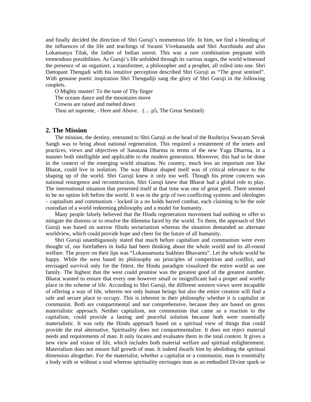and finally decided the direction of Shri Guruji's momentous life. In him, we find a blending of the influences of the life and teachings of Swami Vivekananda and Shri Aurobindo and also Lokamanya Tilak, the father of Indian unrest. This was a rare combination pregnant with tremendous possibilities. As Guruji's life unfolded through its various stages, the world witnessed the presence of an organizer, a transformer, a philosopher and a prophet, all rolled into one. Shri Dattopant Thengadi with his intuitive perception described Shri Guruji as "The great sentinel". With genuine poetic inspiration Shri Thengadiji sang the glory of Shri Guruji in the following couplets.

O Mighty master! To the tune of Thy finger The oceans dance and the mountains move Crowns are raised and melted down Thou art supreme, - Here and Above. (… p5, The Great Sentinel)

#### **2. The Mission**

The mission, the destiny, entrusted to Shri Guruji as the head of the Rashtriya Swayam Sevak Sangh was to bring about national regeneration. This required a restatement of the tenets and practices, views and objectives of Sanatana Dharma in terms of the new Yuga Dharma, in a manner both intelligible and applicable to the modern generation. Moreover, this had to be done in the context of the emerging world situation. No country, much less an important one like Bharat, could live in isolation. The way Bharat shaped itself was of critical relevance to the shaping up of the world. Shri Guruji knew it only too well. Though his prime concern was national resurgence and reconstruction, Shri Guruji knew that Bharat had a global role to play. The international situation that presented itself at that time was one of great peril. There seemed to be no option left before the world. It was in the grip of two conflicting systems and ideologies – capitalism and communism - locked in a no holds barred combat, each claiming to be the sole custodian of a world redeeming philosophy and a model for humanity.

Many people falsely believed that the Hindu regeneration movement had nothing to offer to mitigate the distress or to resolve the dilemma faced by the world. To them, the approach of Shri Guruji was based on narrow Hindu sectarianism whereas the situation demanded an alternate worldview, which could provide hope and cheer for the future of all humanity.

Shri Guruji unambiguously stated that much before capitalism and communism were even thought of, our forefathers in India had been thinking about the whole world and its all-round welfare. The prayer on their lips was "Lokassamasta Sukhino Bhavantu". Let the whole world be happy. While the west based its philosophy on principles of competition and conflict, and envisaged survival only for the fittest, the Hindu paradigm visualized the entire world as one family. The highest that the west could promise was the greatest good of the greatest number. Bharat wanted to ensure that every one however small or insignificant had a proper and worthy place in the scheme of life. According to Shri Guruji, the different western views were incapable of offering a way of life, wherein not only human beings but also the entire creation will find a safe and secure place to occupy. This is inherent in their philosophy whether it is capitalist or communist. Both are compartmental and not comprehensive, because they are based on gross materialistic approach. Neither capitalism, nor communism that came as a reaction to the capitalism, could provide a lasting and peaceful solution because both were essentially materialistic. It was only the Hindu approach based on a spiritual view of things that could provide the real alternative. Spirituality does not compartmentalize. It does not reject material needs and requirements of man. It only locates and evaluates them in the total context. It gives a new view and vision of life, which includes both material welfare and spiritual enlightenment. Materialism does not ensure full growth of man. It indeed dwarfs him by abolishing the spiritual dimension altogether. For the materialist, whether a capitalist or a communist, man is essentially a body with or without a soul whereas spirituality envisages man as an embodied Divine spark or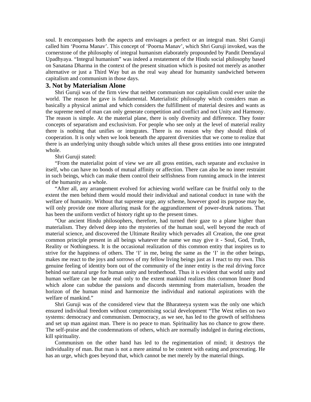soul. It encompasses both the aspects and envisages a perfect or an integral man. Shri Guruji called him 'Poorna Manav'. This concept of 'Poorna Manav', which Shri Guruji invoked, was the cornerstone of the philosophy of integral humanism elaborately propounded by Pandit Deendayal Upadhyaya. "Integral humanism" was indeed a restatement of the Hindu social philosophy based on Sanatana Dharma in the context of the present situation which is posited not merely as another alternative or just a Third Way but as the real way ahead for humanity sandwiched between capitalism and communism in those days.

# **3. Not by Materialism Alone**

Shri Guruji was of the firm view that neither communism nor capitalism could ever unite the world. The reason he gave is fundamental. Materialistic philosophy which considers man as basically a physical animal and which considers the fulfillment of material desires and wants as the supreme need of man can only generate competition and conflict and not Unity and Harmony. The reason is simple. At the material plane, there is only diversity and difference. They foster concepts of separatism and exclusivism. For people who see only at the level of material reality there is nothing that unifies or integrates. There is no reason why they should think of cooperation. It is only when we look beneath the apparent diversities that we come to realize that there is an underlying unity though subtle which unites all these gross entities into one integrated whole.

Shri Guruji stated:

"From the materialist point of view we are all gross entities, each separate and exclusive in itself, who can have no bonds of mutual affinity or affection. There can also be no inner restraint in such beings, which can make them control their selfishness from running amuck in the interest of the humanity as a whole.

"After all, any arrangement evolved for achieving world welfare can be fruitful only to the extent the men behind them would mould their individual and national conduct in tune with the welfare of humanity. Without that supreme urge, any scheme, however good its purpose may be, will only provide one more alluring mask for the aggrandizement of power-drunk nations. That has been the uniform verdict of history right up to the present times.

"Our ancient Hindu philosophers, therefore, had turned their gaze to a plane higher than materialism. They delved deep into the mysteries of the human soul, well beyond the reach of material science, and discovered the Ultimate Reality which pervades all Creation, the one great common principle present in all beings whatever the name we may give it - Soul, God, Truth, Reality or Nothingness. It is the occasional realization of this common entity that inspires us to strive for the happiness of others. The 'I' in me, being the same as the 'I' in the other beings, makes me react to the joys and sorrows of my fellow living beings just as I react to my own. This genuine feeling of identity born out of the community of the inner entity is the real driving force behind our natural urge for human unity and brotherhood. Thus it is evident that world unity and human welfare can be made real only to the extent mankind realizes this common Inner Bond which alone can subdue the passions and discords stemming from materialism, broaden the horizon of the human mind and harmonize the individual and national aspirations with the welfare of mankind."

Shri Guruji was of the considered view that the Bharateeya system was the only one which ensured individual freedom without compromising social development "The West relies on two systems: democracy and communism. Democracy, as we see, has led to the growth of selfishness and set up man against man. There is no peace to man. Spirituality has no chance to grow there. The self-praise and the condemnations of others, which are normally indulged in during elections, kill spirituality.

Communism on the other hand has led to the regimentation of mind; it destroys the individuality of man. But man is not a mere animal to be content with eating and procreating. He has an urge, which goes beyond that, which cannot be met merely by the material things.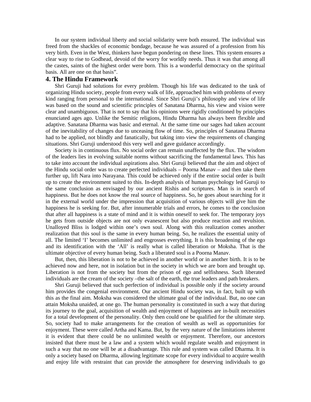In our system individual liberty and social solidarity were both ensured. The individual was freed from the shackles of economic bondage, because he was assured of a profession from his very birth. Even in the West, thinkers have begun pondering on these lines. This system ensures a clear way to rise to Godhead, devoid of the worry for worldly needs. Thus it was that among all the castes, saints of the highest order were born. This is a wonderful democracy on the spiritual basis. All are one on that basis".

## **4. The Hindu Framework**

Shri Guruji had solutions for every problem. Though his life was dedicated to the task of organizing Hindu society, people from every walk of life, approached him with problems of every kind ranging from personal to the international. Since Shri Guruji's philosophy and view of life was based on the sound and scientific principles of Sanatana Dharma, his view and vision were clear and unambiguous. That is not to say that his opinions were rigidly conditioned by principles enunciated ages ago. Unlike the Semitic religions, Hindu Dharma has always been flexible and adaptive. Sanatana Dharma was basic and eternal. At the same time our sages had taken account of the inevitability of changes due to unceasing flow of time. So, principles of Sanatana Dharma had to be applied, not blindly and fanatically, but taking into view the requirements of changing situations. Shri Guruji understood this very well and gave guidance accordingly.

Society is in continuous flux. No social order can remain unaffected by the flux. The wisdom of the leaders lies in evolving suitable norms without sacrificing the fundamental laws. This has to take into account the individual aspirations also. Shri Guruji believed that the aim and object of the Hindu social order was to create perfected individuals – Poorna Manav – and then take them further up, lift Nara into Narayana. This could be achieved only if the entire social order is built up to create the environment suited to this. In-depth analysis of human psychology led Guruji to the same conclusion as envisaged by our ancient Rishis and scriptures. Man is in search of happiness. But he does not know the real source of happiness. So, he goes about searching for it in the external world under the impression that acquisition of various objects will give him the happiness he is seeking for. But, after innumerable trials and errors, he comes to the conclusion that after all happiness is a state of mind and it is within oneself to seek for. The temporary joys he gets from outside objects are not only evanescent but also produce reaction and revulsion. Unalloyed Bliss is lodged within one's own soul. Along with this realization comes another realization that this soul is the same in every human being. So, he realizes the essential unity of all. The limited 'I' becomes unlimited and engrosses everything. It is this broadening of the ego and its identification with the 'All' is really what is called liberation or Moksha. That is the ultimate objective of every human being. Such a liberated soul is a Poorna Manav.

But, then, this liberation is not to be achieved in another world or in another birth. It is to be achieved now and here, not in isolation but in the society in which we are born and brought up. Liberation is not from the society but from the prison of ego and selfishness. Such liberated individuals are the cream of the society –the salt of the earth, the true leaders and path breakers.

Shri Guruji believed that such perfection of individual is possible only if the society around him provides the congenial environment. Our ancient Hindu society was, in fact, built up with this as the final aim. Moksha was considered the ultimate goal of the individual. But, no one can attain Moksha unaided, at one go. The human personality is constituted in such a way that during its journey to the goal, acquisition of wealth and enjoyment of happiness are in-built necessities for a total development of the personality. Only then could one be qualified for the ultimate step. So, society had to make arrangements for the creation of wealth as well as opportunities for enjoyment. These were called Artha and Kama. But, by the very nature of the limitations inherent it is evident that there could be no unlimited wealth or enjoyment. Therefore, our ancestors insisted that there must be a law and a system which would regulate wealth and enjoyment in such a way that no one will be at a disadvantage. This rule and system was called Dharma. It is only a society based on Dharma, allowing legitimate scope for every individual to acquire wealth and enjoy life with restraint that can provide the atmosphere for deserving individuals to go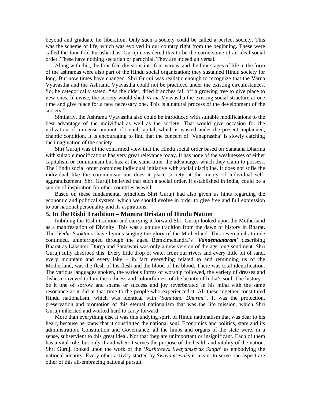beyond and graduate for liberation. Only such a society could be called a perfect society. This was the scheme of life, which was evolved in our country right from the beginning. These were called the four-fold Purusharthas. Guruji considered this to be the cornerstone of an ideal social order. These have nothing sectarian or parochial. They are indeed universal.

Along with this, the four-fold divisions into four varnas, and the four stages of life in the form of the ashramas were also part of the Hindu social organization; they sustained Hindu society for long. But now times have changed. Shri Guruji was realistic enough to recognize that the Varna Vyavastha and the Ashrama Vyavastha could not be practiced under the existing circumstances. So, he categorically stated, "As the older, dried branches fall off a growing tree to give place to new ones, likewise, the society would shed Varna Vyavastha the existing social structure at one time and give place for a new necessary one. This is a natural process of the development of the society."

Similarly, the Ashrama Vyavastha also could be introduced with suitable modifications to the best advantage of the individual as well as the society. That would give occasion for the utilization of immense amount of social capital, which is wasted under the present unplanned, chaotic condition. It is encouraging to find that the concept of 'Vanaprastha' is slowly catching the imagination of the society.

Shri Guruji was of the confirmed view that the Hindu social order based on Sanatana Dharma with suitable modifications has very great relevance today. It has none of the weaknesses of either capitalism or communism but has, at the same time, the advantages which they claim to possess. The Hindu social order combines individual initiative with social discipline. It does not stifle the individual like the communism nor does it place society at the mercy of individual selfaggrandizement. Shri Guruji believed that such a social order, if established in India, could be a source of inspiration for other countries as well.

Based on these fundamental principles Shri Guruji had also given us hints regarding the economic and political system, which we should evolve in order to give free and full expression to our national personality and its aspirations.

#### **5. In the Rishi Tradition – Mantra Dristan of Hindu Nation**

Imbibing the Rishi tradition and carrying it forward Shri Guruji looked upon the Motherland as a manifestation of Divinity. This was a unique tradition from the dawn of history in Bharat. The '*Vedic Sooktaas'* have hymns singing the glory of the Motherland. This reverential attitude continued, uninterrupted through the ages. Bemkimchandra's '*Vandemaataram*' describing Bharat as Lakshmi, Durga and Saraswati was only a new version of the age long sentiment. Shri Guruji fully absorbed this. Every little drop of water from our rivers and every little bit of sand, every mountain and every lake – in fact everything related to and reminding us of the Motherland, was the flesh of his flesh and the blood of his blood. There was total identification. The various languages spoken, the various forms of worship followed, the variety of dresses and dishes conveyed to him the richness and colourfulness of the beauty of India's soul. The history – be it one of sorrow and shame or success and joy reverberated in his mind with the same resonance as it did at that time to the people who experienced it. All these together constituted Hindu nationalism, which was identical with '*Sanatana Dharma*'. It was the protection, preservation and promotion of this eternal nationalism that was the life mission, which Shri Guruji inherited and worked hard to carry forward.

More than everything else it was this undying spirit of Hindu nationalism that was dear to his heart, because he knew that it constituted the national soul. Economics and politics, state and its administration, Constitution and Governance, all the limbs and organs of the state were, in a sense, subservient to this great ideal. Not that they are unimportant or insignificant. Each of them has a vital role, but only if and when it serves the purpose of the health and vitality of the nation. Shri Guruji looked upon the work of the '*Rashtreeya Swayamsevak Sangh*' as embodying the national identity. Every other activity started by *Swayamsevaks* is meant to serve one aspect are other of this all-embracing national pursuit.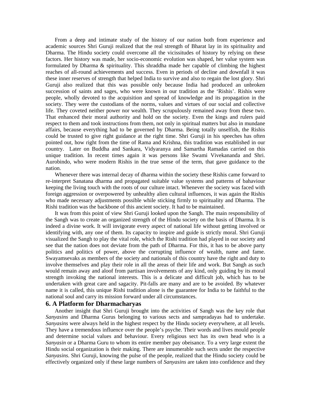From a deep and intimate study of the history of our nation both from experience and academic sources Shri Guruji realized that the real strength of Bharat lay in its spirituality and Dharma. The Hindu society could overcome all the vicissitudes of history by relying on these factors. Her history was made, her socio-economic evolution was shaped, her value system was formulated by Dharma & spirituality. This shraddha made her capable of climbing the highest reaches of all-round achievements and success. Even in periods of decline and downfall it was these inner reserves of strength that helped India to survive and also to regain the lost glory. Shri Guruji also realized that this was possible only because India had produced an unbroken succession of saints and sages, who were known in our tradition as the 'Rishis'. Rishis were people, wholly devoted to the acquisition and spread of knowledge and its propagation in the society. They were the custodians of the norms, values and virtues of our social and collective life. They coveted neither power nor wealth. They scrupulously remained away from these two. That enhanced their moral authority and hold on the society. Even the kings and rulers paid respect to them and took instructions from them, not only in spiritual matters but also in mundane affairs, because everything had to be governed by Dharma. Being totally unselfish, the Rishis could be trusted to give right guidance at the right time. Shri Guruji in his speeches has often pointed out, how right from the time of Rama and Krishna, this tradition was established in our country. Later on Buddha and Sankara, Vidyaranya and Samartha Ramadas carried on this unique tradition. In recent times again it was persons like Swami Vivekananda and Shri. Aurobindo, who were modern Rishis in the true sense of the term, that gave guidance to the nation.

Whenever there was internal decay of dharma within the society these Rishis came forward to re-interpret Sanatana dharma and propagated suitable value systems and patterns of bahaviour keeping the living touch with the roots of our culture intact. Whenever the society was faced with foreign aggression or overpowered by unhealthy alien cultural influences, it was again the Rishis who made necessary adjustments possible while sticking firmly to spirituality and Dharma. The Rishi tradition was the backbone of this ancient society. It had to be maintained.

It was from this point of view Shri Guruji looked upon the Sangh. The main responsibility of the Sangh was to create an organized strength of the Hindu society on the basis of Dharma. It is indeed a divine work. It will invigorate every aspect of national life without getting involved or identifying with, any one of them. Its capacity to inspire and guide is strictly moral. Shri Guruji visualized the Sangh to play the vital role, which the Rishi tradition had played in our society and see that the nation does not deviate from the path of Dharma. For this, it has to be above party politics and politics of power, above the corrupting influence of wealth, name and fame. Swayamsevaks as members of the society and nationals of this country have the right and duty to involve themselves and play their role in all the areas of their life and work. But Sangh as such would remain away and aloof from partisan involvements of any kind, only guiding by its moral strength invoking the national interests. This is a delicate and difficult job, which has to be undertaken with great care and sagacity. Pit-falls are many and are to be avoided. By whatever name it is called, this unique Rishi tradition alone is the guarantee for India to be faithful to the national soul and carry its mission forward under all circumstances.

#### **6. A Platform for Dharmacharyas**

Another insight that Shri Guruji brought into the activities of Sangh was the key role that *Sanyasins* and Dharma Gurus belonging to various sects and sampradayas had to undertake. *Sanyasins* were always held in the highest respect by the Hindu society everywhere, at all levels. They have a tremendous influence over the people's psyche. Their words and lives mould people and determine social values and behaviour. Every religious sect has its own head who is a *Sanyasin* or a Dharma Guru to whom its entire member pay obeisance. To a very large extent the Hindu social organization is their making. There are innumerable such sects under the respective *Sanyasins*. Shri Guruji, knowing the pulse of the people, realized that the Hindu society could be effectively organized only if these large numbers of *Sanyasins* are taken into confidence and they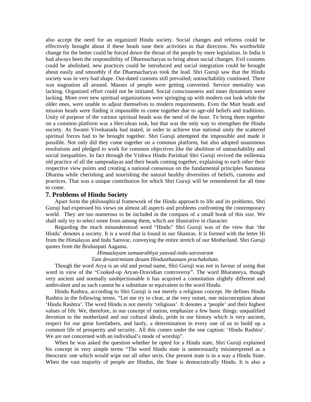also accept the need for an organized Hindu society. Social changes and reforms could be effectively brought about if these heads tune their activities in that direction. No worthwhile change for the better could be forced down the throat of the people by mere legislation. In India it had always been the responsibility of Dharmacharyas to bring about social changes. Evil customs could be abolished, new practices could be introduced and social integration could be brought about easily and smoothly if the Dharmacharyas took the lead. Shri Guruji saw that the Hindu society was in very bad shape. Out-dated customs still prevailed; untouchability continued. There was stagnation all around. Masses of people were getting converted. Service mentality was lacking. Organized effort could not be initiated. Social consciousness and inner dynamism were lacking. More over new spiritual organizations were springing up with modern out look while the older ones, were unable to adjust themselves to modern requirements. Even the Mutt heads and mission heads were finding it impossible to come together due to age-old beliefs and traditions. Unity of purpose of the various spiritual heads was the need of the hour. To bring them together on a common platform was a Herculean task, but that was the only way to strengthen the Hindu society. As Swami Vivekanada had stated, in order to achieve true national unity the scattered spiritual forces had to be brought together. Shri Guruji attempted the impossible and made it possible. Not only did they come together on a common platform, but also adopted unanimous resolutions and pledged to work for common objectives like the abolition of untouchability and social inequalities. In fact through the Vishwa Hindu Parishad Shri Guruji revived the millennia old practice of all the sampradayas and their heads coming together, explaining to each other their respective view points and creating a national consensus on the fundamental principles Sanatana Dharma while cherishing and nourishing the natural healthy diversities of beliefs, customs and practices. That was a unique contribution for which Shri Guruji will be remembered for all time to come.

# **7. Problems of Hindu Society**

Apart form the philosophical framework of the Hindu approach to life and its problems, Shri Guruji had expressed his views on almost all aspects and problems confronting the contemporary world. They are too numerous to be included in the compass of a small book of this size. We shall only try to select some from among them, which are illustrative in character.

Regarding the much misunderstood word "Hindu" Shri Guruji was of the view that 'the Hindu' denotes a society. It is a word that is found in our Shastras. It is formed with the letter Hi from the Himalayas and Indu Sarovar, conveying the entire stretch of our Motherland. Shri Guruji quotes from the Bruhaspati Aagama.

# *Himaalayam samaarabhya yaavad-indu-sarovaram*

# *Tam devanirmitam desam Hindusthaanam prachakshate.*

Though the word Arya is an old and proud name, Shri Guruji was not in favour of using that word in view of the "Cooked-up Aryan-Dravidian controversy". The word Bharateeya, though very ancient and normally unobjectionable it has acquired a connotation slightly different and ambivalent and as such cannot be a substitute or equivalent to the word Hindu.

Hindu Rashtra, according to Shri Guruji is not merely a religious concept. He defines Hindu Rashtra in the following terms. "Let me try to clear, at the very outset, one misconception about 'Hindu Rashtra'. The word Hindu is not merely 'religious'. It denotes a 'people' and their highest values of life. We, therefore, in our concept of nation, emphasize a few basic things: unqualified devotion to the motherland and our cultural ideals, pride in our history which is very ancient, respect for our great forefathers, and lastly, a determination in every one of us to build up a common life of prosperity and security. All this comes under the one caption: 'Hindu Rashtra'. We are not concerned with an individual's mode of worship".

When he was asked the question whether he opted for a Hindu state, Shri Guruji explained his concept in very simple terms "The word Hindu state is unnecessarily misinterpreted as a theocratic one which would wipe out all other sects. Our present state is in a way a Hindu State. When the vast majority of people are Hindus, the State is democratically Hindu. It is also a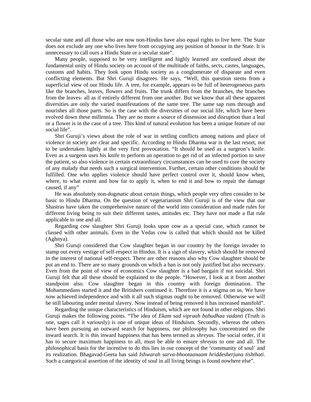secular state and all those who are now non-Hindus have also equal rights to live here. The State does not exclude any one who lives here from occupying any position of honour in the State. It is unnecessary to call ours a Hindu State or a secular state".

Many people, supposed to be very intelligent and highly learned are confused about the fundamental unity of Hindu society on account of the multitude of faiths, sects, castes, languages, customs and habits. They look upon Hindu society as a conglomerate of disparate and even conflicting elements. But Shri Guruji disagrees. He says, "Well, this question stems from a superficial view of our Hindu life. A tree, for example, appears to be full of heterogeneous parts like the branches, leaves, flowers and fruits. The trunk differs from the branches, the branches from the leaves- all as if entirely different from one another. But we know that all these apparent diversities are only the varied manifestations of the same tree. The same sap runs through and nourishes all those parts. So is the case with the diversities of our social life, which have been evolved down these millennia. They are no more a source of dissension and disruption than a leaf or a flower is in the case of a tree. This kind of natural evolution has been a unique feature of our social life".

Shri Guruji's views about the role of war in settling conflicts among nations and place of violence in society are clear and specific. According to Hindu Dharma war is the last resort, not to be undertaken lightly at the very first provocation. "It should be used as a surgeon's knife. Even as a surgeon uses his knife to perform an operation to get rid of an infected portion to save the patient, so also violence in certain extraordinary circumstances can be used to cure the society of any malady that needs such a surgical intervention. Further, certain other conditions should be fulfilled. One who applies violence should have perfect control over it, should know when, where, to what extent and how far to apply it, when to end it and how to repair the damage caused, if any"

He was absolutely non-dogmatic about certain things, which people very often consider to be basic to Hindu Dharma. On the question of vegetarianism Shri Guruji is of the view that our Shastras have taken the comprehensive nature of the world into consideration and made rules for different living being to suit their different tastes, attitudes etc. They have not made a flat rule applicable to one and all.

Regarding cow slaughter Shri Guruji looks upon cow as a special case, which cannot be classed with other animals. Even in the Vedas cow is called that which should not be killed (Aghnya).

Shri Guruji considered that Cow slaughter began in our country by the foreign invader to stamp out every vestige of self-respect in Hindus. It is a sign of slavery, which should be removed in the interest of national self-respect. There are other reasons also why Cow slaughter should be put an end to. There are so many grounds on which a ban is not only justified but also necessary. Even from the point of view of economics Cow slaughter is a bad bargain if not suicidal. Shri Guruji felt that all these should be explained to the people. "However, I look at it from another standpoint also. Cow slaughter began in this country with foreign domination. The Mohammedans started it and the Britishers continued it. Therefore it is a stigma on us. We have now achieved independence and with it all such stigmas ought to be removed. Otherwise we will be still labouring under mental slavery. Now instead of being removed it has increased manifold".

Regarding the unique characteristics of Hinduism, which are not found in other religions. Shri Guruji makes the following points. "The idea of *Ekam sad vipraah bahudhaa vadanti* (Truth is one, sages call it variously) is one of unique ideas of Hinduism. Secondly, whereas the others have been pursuing an outward search for happiness, our philosophy has concentrated on the inward search. It is this inward happiness that has been termed as *shreyas*. The social order, if it has to secure maximum happiness to all, must be able to ensure *shreyas* to one and all. The philosophical basis for the incentive to do this lies in our concept of the 'community of soul' and its realization. Bhagavad-Geeta has said *Ishwarah sarva-bhootaanaam hriddesherjuna tishthati*. Such a categorical assertion of the identity of soul in all living beings is found nowhere else".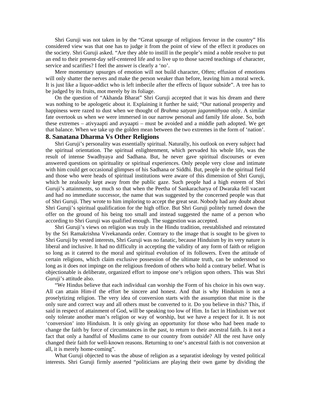Shri Guruji was not taken in by the "Great upsurge of religious fervour in the country" His considered view was that one has to judge it from the point of view of the effect it produces on the society. Shri Guruji asked. "Are they able to instill in the people's mind a noble resolve to put an end to their present-day self-centered life and to live up to those sacred teachings of character, service and scarifies? I feel the answer is clearly a 'no'.

Mere momentary upsurges of emotion will not build character, Often; effusion of emotions will only shatter the nerves and make the person weaker than before, leaving him a moral wreck. It is just like a liquor-addict who is left imbecile after the effects of liquor subside". A tree has to be judged by its fruits, mot merely by its foliage.

On the question of "Akhanda Bharat" Shri Guruji accepted that it was his dream and there was nothing to be apologetic about it. Explaining it further he said; "Our national prosperity and happiness were razed to dust when we thought of *Brahma satyam jaganmithyaa* only. A similar fate overtook us when we were immersed in our narrow personal and family life alone. So, both these extremes – ativyaapti and avyaapti – must be avoided and a middle path adopted. We get that balance. When we take up the golden mean between the two extremes in the form of 'nation'.

# **8. Sanatana Dharma Vs Other Religions**

Shri Guruji's personality was essentially spiritual. Naturally, his outlook on every subject had the spiritual orientation. The spiritual enlightenment, which pervaded his whole life, was the result of intense Swadhyaya and Sadhana. But, he never gave spiritual discourses or even answered questions on spirituality or spiritual experiences. Only people very close and intimate with him could get occasional glimpses of his Sadhana or Siddhi. But, people in the spiritual field and those who were heads of spiritual institutions were aware of this dimension of Shri Guruji, which he zealously kept away from the public gaze. Such people had a high esteem of Shri Guruji's attainments, so much so that when the Peetha of Sankaracharya of Dwaraka fell vacant and had no immediate successor, the name that was suggested by the concerned people was that of Shri Guruji. They wrote to him imploring to accept the great seat. Nobody had any doubt about Shri Guruji's spiritual qualification for the high office. But Shri Guruji politely turned down the offer on the ground of his being too small and instead suggested the name of a person who according to Shri Guruji was qualified enough. The suggestion was accepted.

Shri Guruji's views on religion was truly in the Hindu tradition, reestablished and reinstated by the Sri Ramakrishna Vivekananda order. Contrary to the image that is sought to be given to Shri Guruji by vested interests, Shri Guruji was no fanatic, because Hinduism by its very nature is liberal and inclusive. It had no difficulty in accepting the validity of any form of faith or religion so long as it catered to the moral and spiritual evolution of its followers. Even the attitude of certain religions, which claim exclusive possession of the ultimate truth, can be understood so long as it does not impinge on the religious freedom of others who hold a contrary belief. What is objectionable is deliberate, organized effort to impose one's religion upon others. This was Shri Guruji's attitude also.

"We Hindus believe that each individual can worship the Form of his choice in his own way. All can attain Him-if the effort be sincere and honest. And that is why Hinduism is not a proselytizing religion. The very idea of conversion starts with the assumption that mine is the only sure and correct way and all others must be converted to it. Do you believe in this? This, if said in respect of attainment of God, will be speaking too low of Him. In fact in Hinduism we not only tolerate another man's religion or way of worship, but we have a respect for it. It is not 'conversion' into Hinduism. It is only giving an opportunity for those who had been made to change the faith by force of circumstances in the past, to return to their ancestral faith. Is it not a fact that only a handful of Muslims came to our country from outside? All the rest have only changed their faith for well-known reasons. Returning to one's ancestral faith is not conversion at all, it is merely home-coming".

What Guruji objected to was the abuse of religion as a separatist ideology by vested political interests. Shri Guruji firmly asserted "politicians are playing their own game by dividing the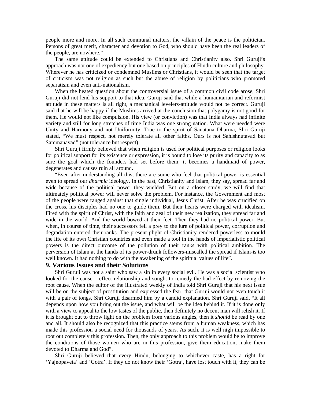people more and more. In all such communal matters, the villain of the peace is the politician. Persons of great merit, character and devotion to God, who should have been the real leaders of the people, are nowhere."

The same attitude could be extended to Christians and Christianity also. Shri Guruji's approach was not one of expediency but one based on principles of Hindu culture and philosophy. Wherever he has criticized or condemned Muslims or Christians, it would be seen that the target of criticism was not religion as such but the abuse of religion by politicians who promoted separatism and even anti-nationalism.

When the heated question about the controversial issue of a common civil code arose, Shri Guruji did not lend his support to that idea. Guruji said that while a humanitarian and reformist attitude in these matters is all right, a mechanical levelers-attitude would not be correct. Guruji said that he will be happy if the Muslims arrived at the conclusion that polygamy is not good for them. He would not like compulsion. His view (or conviction) was that India always had infinite variety and still for long stretches of time India was one strong nation. What were needed were Unity and Harmony and not Uniformity. True to the spirit of Sanatana Dharma, Shri Guruji stated, "We must respect, not merely tolerate all other faiths. Ours is not Sahishnutavad but Sammanavad" (not tolerance but respect).

Shri Guruji firmly believed that when religion is used for political purposes or religion looks for political support for its existence or expression, it is bound to lose its purity and capacity to as sure the goal which the founders had set before them; it becomes a handmaid of power, degenerates and causes ruin all around.

"Even after understanding all this, there are some who feel that political power is essential even to spread our *dharmic* ideology. In the past, Christianity and Islam, they say, spread far and wide because of the political power they wielded. But on a closer study, we will find that ultimately political power will never solve the problem. For instance, the Government and most of the people were ranged against that single individual, Jesus Christ. After he was crucified on the cross, his disciples had no one to guide them. But their hearts were charged with idealism. Fired with the spirit of Christ, with the faith and zeal of their new realization, they spread far and wide in the world. And the world bowed at their feet. Then they had no political power. But when, in course of time, their successors fell a prey to the lure of political power, corruption and degradation entered their ranks. The present plight of Christianity rendered powerless to mould the life of its own Christian countries and even made a tool in the hands of imperialistic political powers is the direct outcome of the pollution of their ranks with political ambition. The perversion of Islam at the hands of its power-drunk followers-miscalled the spread if Islam-is too well known. It had nothing to do with the awakening of the spiritual values of life".

# **9. Various Issues and their Solutions**

Shri Guruji was not a saint who saw a sin in every social evil. He was a social scientist who looked for the cause – effect relationship and sought to remedy the bad effect by removing the root cause. When the editor of the illustrated weekly of India told Shri Guruji that his next issue will be on the subject of prostitution and expressed the fear, that Guruji would not even touch it with a pair of tongs, Shri Guruji disarmed him by a candid explanation. Shri Guruji said, "It all depends upon how you bring out the issue, and what will be the idea behind it. If it is done only with a view to appeal to the low tastes of the public, then definitely no decent man will relish it. If it is brought out to throw light on the problem from various angles, then it *should* be read by one and all. It should also be recognized that this practice stems from a human weakness, which has made this profession a social need for thousands of years. As such, it is well nigh impossible to root out completely this profession. Then, the only approach to this problem would be to improve the conditions of those women who are in this profession, give them education, make them devoted to Dharma and God".

Shri Guruji believed that every Hindu, belonging to whichever caste, has a right for 'Yajnopaveta' and 'Gotra'. If they do not know their 'Gotra', have lost touch with it, they can be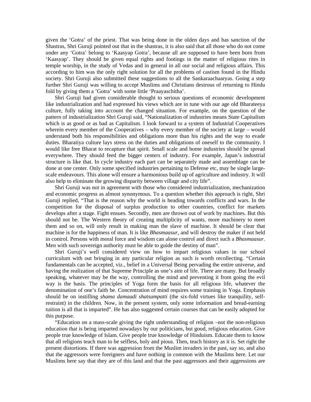given the 'Gotra' of the priest. That was being done in the olden days and has sanction of the Shastras, Shri Guruji pointed out that in the shastras, it is also said that all those who do not come under any 'Gotra' belong to 'Kaasyap Gotra', because all are supposed to have been born from 'Kaasyap'. They should be given equal rights and footings in the matter of religious rites in temple worship, in the study of Vedas and in general in all our social and religious affairs. This according to him was the only right solution for all the problems of castism found in the Hindu society. Shri Guruji also submitted these suggestions to all the Sankaraachaaryas. Going a step further Shri Guruji was willing to accept Muslims and Christians desirous of returning to Hindu fold by giving them a 'Gotra' with some little 'Praayaschitha'.

Shri Guruji had given considerable thought to serious questions of economic development like industrialization and had expressed his views which are in tune with our age old Bharateeya culture, fully taking into account the changed situation. For example, on the question of the pattern of industrialization Shri Guruji said, "Nationalization of industries means State Capitalism which is as good or as bad as Capitalism. I look forward to a system of Industrial Cooperatives wherein every member of the Cooperatives – why every member of the society at large – would understand both his responsibilities and obligations more than his rights and the way to evade duties. Bharatiya culture lays stress on the duties and obligations of oneself to the community. I would like free Bharat to recapture that spirit. Small scale and home industries should be spread everywhere. They should feed the bigger centers of industry. For example, Japan's industrial structure is like that. In cycle industry each part can be separately made and assemblage can be done at one center. Only some specified industries pertaining to Defense etc, may be single largescale endeavours. This alone will ensure a harmonious build up of agriculture and industry. It will also help to eliminate the growing disparity between village and city life".

Shri Guruji was not in agreement with those who considered industrialization, mechanization and economic progress as almost synonymous. To a question whether this approach is right, Shri Guruji replied, "That is the reason why the world is heading towards conflicts and wars. In the competition for the disposal of surplus production to other countries, conflict for markets develops after a stage. Fight ensues. Secondly, men are thrown out of work by machines. But this should not be. The Western theory of creating multiplicity of wants, more machinery to meet them and so on, will only result in making man the slave of machine. It should be clear that machine is for the happiness of man. It is like *Bhasmaasur*, and will destroy the maker if not held in control. Persons with moral force and wisdom can alone control and direct such a *Bhasmaasur*. Men with such sovereign authority must be able to guide the destiny of man".

Shri Guruji's well considered view on how to impart religious values in our school curriculum with out bringing in any particular religion as such is worth recollecting. "Certain fundamentals can be accepted, viz., belief in a Universal Being pervading the entire universe, and having the realization of that Supreme Principle as one's aim of life. There are many. But broadly speaking, whatever may be the way, controlling the mind and preventing it from going the evil way is the basis. The principles of Yoga form the basis for all religious life, whatever the denomination of one's faith be. Concentration of mind requires some training in Yoga. Emphasis should be on instilling *shama damaadi shatsampatti* (the six-fold virtues like tranquility, selfrestraint) in the children. Now, in the present system, only some information and bread-earning tuition is all that is imparted". He has also suggested certain courses that can be easily adopted for this purpose.

"Education on a mass-scale giving the right understanding of religion –not the non-religious education that is being imparted nowadays by our politicians, but good, religious education. Give people true knowledge of Islam. Give people true knowledge of Hinduism. Educate them to know that all religions teach man to be selfless, holy and pious. Then, teach history as it is. Set right the present distortions. If there was aggression from the Muslim invaders in the past, say so, and also that the aggressors were foreigners and have nothing in common with the Muslims here. Let our Muslims here say that they are of this land and that the past aggressors and their aggressions are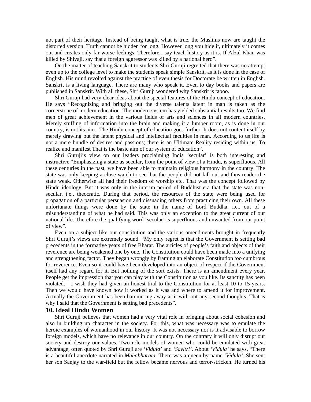not part of their heritage. Instead of being taught what is true, the Muslims now are taught the distorted version. Truth cannot be hidden for long. However long you hide it, ultimately it comes out and creates only far worse feelings. Therefore I say teach history as it is. If Afzal Khan was killed by Shivaji, say that a foreign aggressor was killed by a national hero".

On the matter of teaching Sanskrit to students Shri Guruji regretted that there was no attempt even up to the college level to make the students speak simple Sanskrit, as it is done in the case of English. His mind revolted against the practice of even thesis for Doctorate be written in English. Sanskrit is a living language. There are many who speak it. Even to day books and papers are published in Sanskrit. With all these, Shri Guruji wondered why Sanskrit is taboo.

Shri Guruji had very clear ideas about the special features of the Hindu concept of education. He says "Recognizing and bringing out the diverse talents latent in man is taken as the cornerstone of modern education. The modern system has yielded substantial results too. We find men of great achievement in the various fields of arts and sciences in all modern countries. Merely stuffing of information into the brain and making it a lumber room, as is done in our country, is not its aim. The Hindu concept of education goes further. It does not content itself by merely drawing out the latent physical and intellectual faculties in man. According to us life is not a mere bundle of desires and passions; there is an Ultimate Reality residing within us. To realize and manifest That is the basic aim of our system of education".

Shri Guruji's view on our leaders proclaiming India 'secular' is both interesting and instructive "Emphasizing a state as secular, from the point of view of a Hindu, is superfluous. All these centuries in the past, we have been able to maintain religious harmony in the country. The state was only keeping a close watch to see that the people did not fall out and thus render the state weak. Otherwise all had their freedom of worship etc. That was the concept followed by Hindu ideology. But it was only in the interim period of Buddhist era that the state was nonsecular, i.e., theocratic. During that period, the resources of the state were being used for propagation of a particular persuasion and dissuading others from practicing their own. All these unfortunate things were done by the state in the name of Lord Buddha, i.e., out of a misunderstanding of what he had said. This was only an exception to the great current of our national life. Therefore the qualifying word 'secular' is superfluous and unwanted from our point of view".

Even on a subject like our constitution and the various amendments brought in frequently Shri Guruji's views are extremely sound. "My only regret is that the Government is setting bad precedents in the formative years of free Bharat. The articles of people's faith and objects of their reverence are being weakened one by one. The Constitution could have been made into a unifying and strengthening factor. They began wrongly by framing an elaborate Constitution too cumbrous for reverence. Even so it could have been developed into an object of respect if the Government itself had any regard for it. But nothing of the sort exists. There is an amendment every year. People get the impression that you can play with the Constitution as you like. Its sanctity has been violated. I wish they had given an honest trial to the Constitution for at least 10 to 15 years. Then we would have known how it worked as it was and where to amend it for improvement. Actually the Government has been hammering away at it with out any second thoughts. That is why I said that the Government is setting bad precedents".

#### **10. Ideal Hindu Women**

Shri Guruji believes that women had a very vital role in bringing about social cohesion and also in building up character in the society. For this, what was necessary was to emulate the heroic examples of womanhood in our history. It was not necessary nor is it advisable to borrow foreign models, which have no relevance in our country. On the contrary it will only disrupt our society and destroy our values. Two role models of women who could be emulated with great advantage, often quoted by Shri Guruji are *'Vidula'* and *'Savitri'*. About *'Vidula'* he says, "There is a beautiful anecdote narrated in *Mahabharata*. There was a queen by name '*Vidula'*. She sent her son Sanjay to the war-field but the fellow became nervous and terror-stricken. He turned his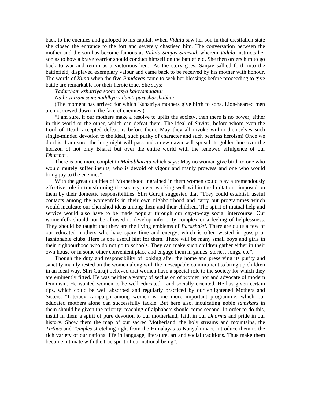back to the enemies and galloped to his capital. When *Vidula* saw her son in that crestfallen state she closed the entrance to the fort and severely chastised him. The conversation between the mother and the son has become famous as *Vidula-Sanjay-Samvad,* wherein *Vidula* instructs her son as to how a brave warrior should conduct himself on the battlefield. She then orders him to go back to war and return as a victorious hero. As the story goes, Sanjay sallied forth into the battlefield, displayed exemplary valour and came back to be received by his mother with honour. The words of *Kunti* when the five *Pandavas* came to seek her blessings before proceeding to give battle are remarkable for their heroic tone. She says:

*Yadartham kshatriya soote tasya kaloyamagata:* 

*Na hi vairam samanaddhya sidamti purusharshabha:* 

(The moment has arrived for which Kshatriya mothers give birth to sons. Lion-hearted men are not cowed down in the face of enemies.)

"I am sure, if our mothers make a resolve to uplift the society, then there is no power, either in this world or the other, which can defeat them. The ideal of *Savitri,* before whom even the Lord of Death accepted defeat, is before them. May they all invoke within themselves such single-minded devotion to the ideal, such purity of character and such peerless heroism! Once we do this, I am sure, the long night will pass and a new dawn will spread its golden hue over the horizon of not only Bharat but over the entire world with the renewed effulgence of our *Dharma*".

There is one more couplet in *Mahabharata* which says: May no woman give birth to one who would mutely suffer insults, who is devoid of vigour and manly prowess and one who would bring joy to the enemies".

With the great qualities of Motherhood ingrained in them women could play a tremendously effective role in transforming the society, even working well within the limitations imposed on them by their domestic responsibilities. Shri Guruji suggested that "They could establish useful contacts among the womenfolk in their own nighbourhood and carry out programmes which would inculcate our cherished ideas among them and their children. The spirit of mutual help and service would also have to be made popular through our day-to-day social intercourse. Our womenfolk should not be allowed to develop inferiority complex or a feeling of helplessness. They should be taught that they are the living emblems of *Parashakti*. There are quite a few of our educated mothers who have spare time and energy, which is often wasted in gossip or fashionable clubs. Here is one useful hint for them. There will be many small boys and girls in their nighbourhood who do not go to schools. They can make such children gather either in their own house or in some other convenient place and engage them in games, stories, songs, etc".

Though the duty and responsibility of looking after the home and preserving its purity and sanctity mainly rested on the women along with the inescapable commitment to bring up children in an ideal way, Shri Guruji believed that women have a special role to the society for which they are eminently fitted. He was neither a votary of seclusion of women nor and advocate of modern feminism. He wanted women to be well educated and socially oriented. He has given certain tips, which could be well absorbed and regularly practiced by our enlightened Mothers and Sisters. "Literacy campaign among women is one more important programme, which our educated mothers alone can successfully tackle. But here also, inculcating noble *samskars* in them should be given the priority; teaching of alphabets should come second. In order to do this, instill in them a spirit of pure devotion to our motherland, faith in our *Dharma* and pride in our history. Show them the map of our sacred Motherland, the holy streams and mountains, the *Tirthas* and *Temples* stretching right from the Himalayas to Kanyakumari. Introduce them to the rich variety of our national life in language, literature, art and social traditions. Thus make them become intimate with the true spirit of our national being".